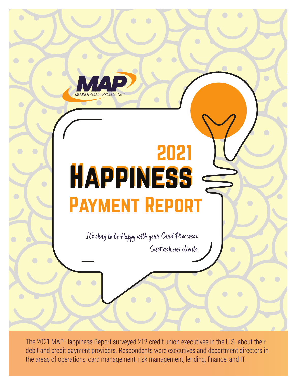

## 2021 Happiness Happiness Payment Report

It's okay to be Happy with your Card Processor. Just ask our clients.

The 2021 MAP Happiness Report surveyed 212 credit union executives in the U.S. about their debit and credit payment providers. Respondents were executives and department directors in the areas of operations, card management, risk management, lending, finance, and IT.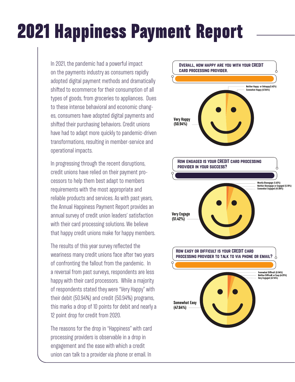## 2021 Happiness Payment Report

In 2021, the pandemic had a powerful impact on the payments industry as consumers rapidly adopted digital payment methods and dramatically shifted to ecommerce for their consumption of all types of goods, from groceries to appliances. Dues to these intense behavioral and economic changes, consumers have adopted digital payments and shifted their purchasing behaviors. Credit unions have had to adapt more quickly to pandemic-driven transformations, resulting in member-service and operational impacts.

In progressing through the recent disruptions, credit unions have relied on their payment processors to help them best adapt to members requirements with the most appropriate and reliable products and services. As with past years, the Annual Happiness Payment Report provides an annual survey of credit union leaders' satisfaction with their card processing solutions. We believe that happy credit unions make for happy members.

The results of this year survey reflected the weariness many credit unions face after two years of confronting the fallout from the pandemic. In a reversal from past surveys, respondents are less happy with their card processors. While a majority of respondents stated they were "Very Happy" with their debit (50.94%) and credit (50.94%) programs, this marks a drop of 10 points for debit and nearly a 12 point drop for credit from 2020.

The reasons for the drop in "Happiness" with card processing providers is observable in a drop in engagement and the ease with which a credit union can talk to a provider via phone or email. In

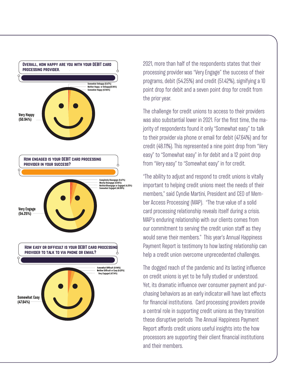

2021, more than half of the respondents states that their processing provider was "Very Engage" the success of their programs, debit (54.25%) and credit (51.42%), signifying a 10 point drop for debit and a seven point drop for credit from the prior year.

The challenge for credit unions to access to their providers was also substantial lower in 2021. For the first time, the majority of respondents found it only "Somewhat easy" to talk to their provider via phone or email for debit (47.64%) and for credit (48.11%). This represented a nine point drop from "Very easy" to "Somewhat easy" in for debit and a 12 point drop from "Very easy" to "Somewhat easy" in for credit.

"The ability to adjust and respond to credit unions is vitally important to helping credit unions meet the needs of their members," said Cyndie Martini, President and CEO of Member Access Processing (MAP). "The true value of a solid card processing relationship reveals itself during a crisis. MAP's enduring relationship with our clients comes from our commitment to serving the credit union staff as they would serve their members." This year's Annual Happiness Payment Report is testimony to how lasting relationship can help a credit union overcome unprecedented challenges.

The dogged reach of the pandemic and its lasting influence on credit unions is yet to be fully studied or understood. Yet, its dramatic influence over consumer payment and purchasing behaviors as an early indicator will have last effects for financial institutions. Card processing providers provide a central role in supporting credit unions as they transition these disruptive periods The Annual Happiness Payment Report affords credit unions useful insights into the how processors are supporting their client financial institutions and their members.